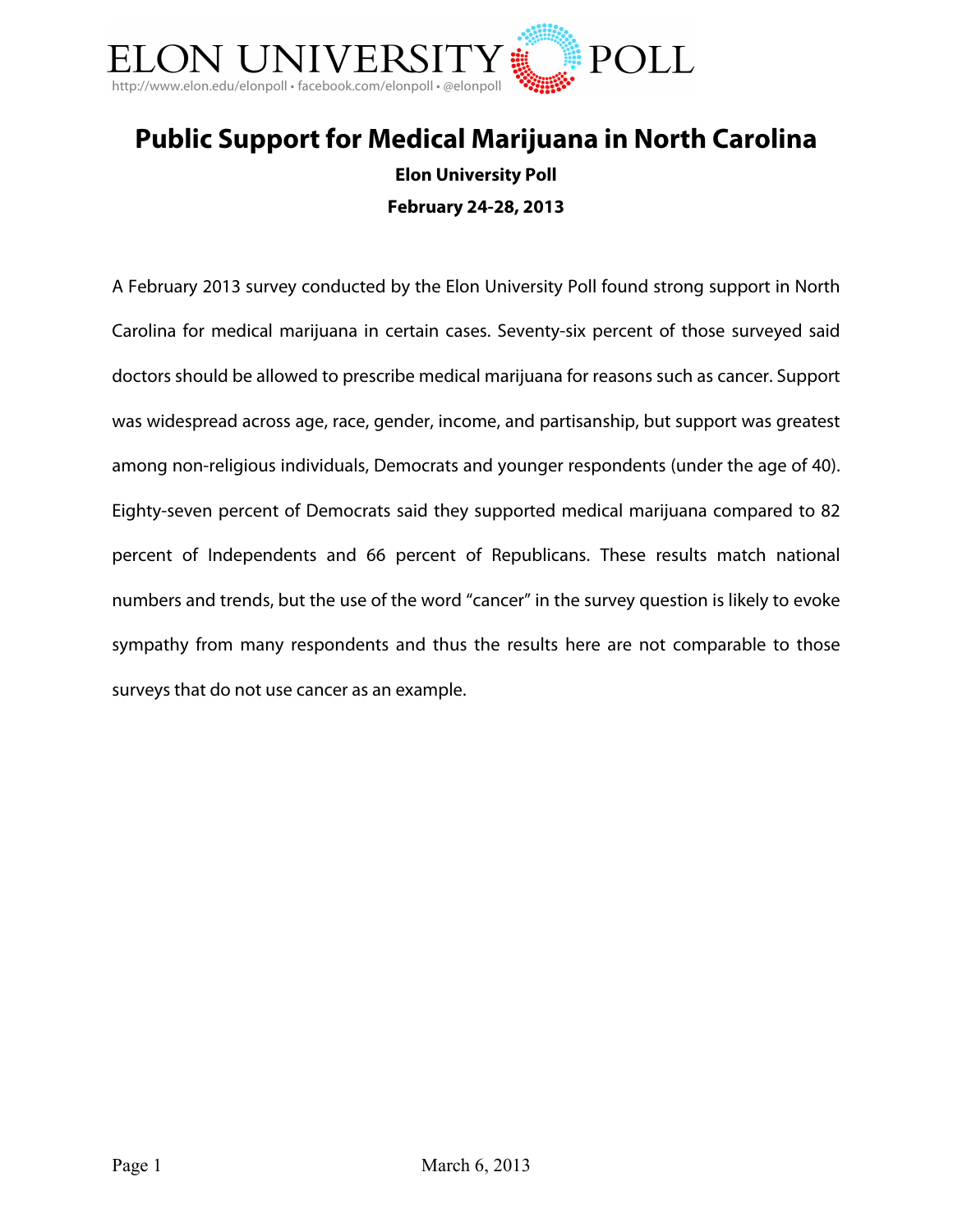

# **Public Support for Medical Marijuana in North Carolina Elon University Poll February 24-28, 2013**

A February 2013 survey conducted by the Elon University Poll found strong support in North Carolina for medical marijuana in certain cases. Seventy-six percent of those surveyed said doctors should be allowed to prescribe medical marijuana for reasons such as cancer. Support was widespread across age, race, gender, income, and partisanship, but support was greatest among non-religious individuals, Democrats and younger respondents (under the age of 40). Eighty-seven percent of Democrats said they supported medical marijuana compared to 82 percent of Independents and 66 percent of Republicans. These results match national numbers and trends, but the use of the word "cancer" in the survey question is likely to evoke sympathy from many respondents and thus the results here are not comparable to those surveys that do not use cancer as an example.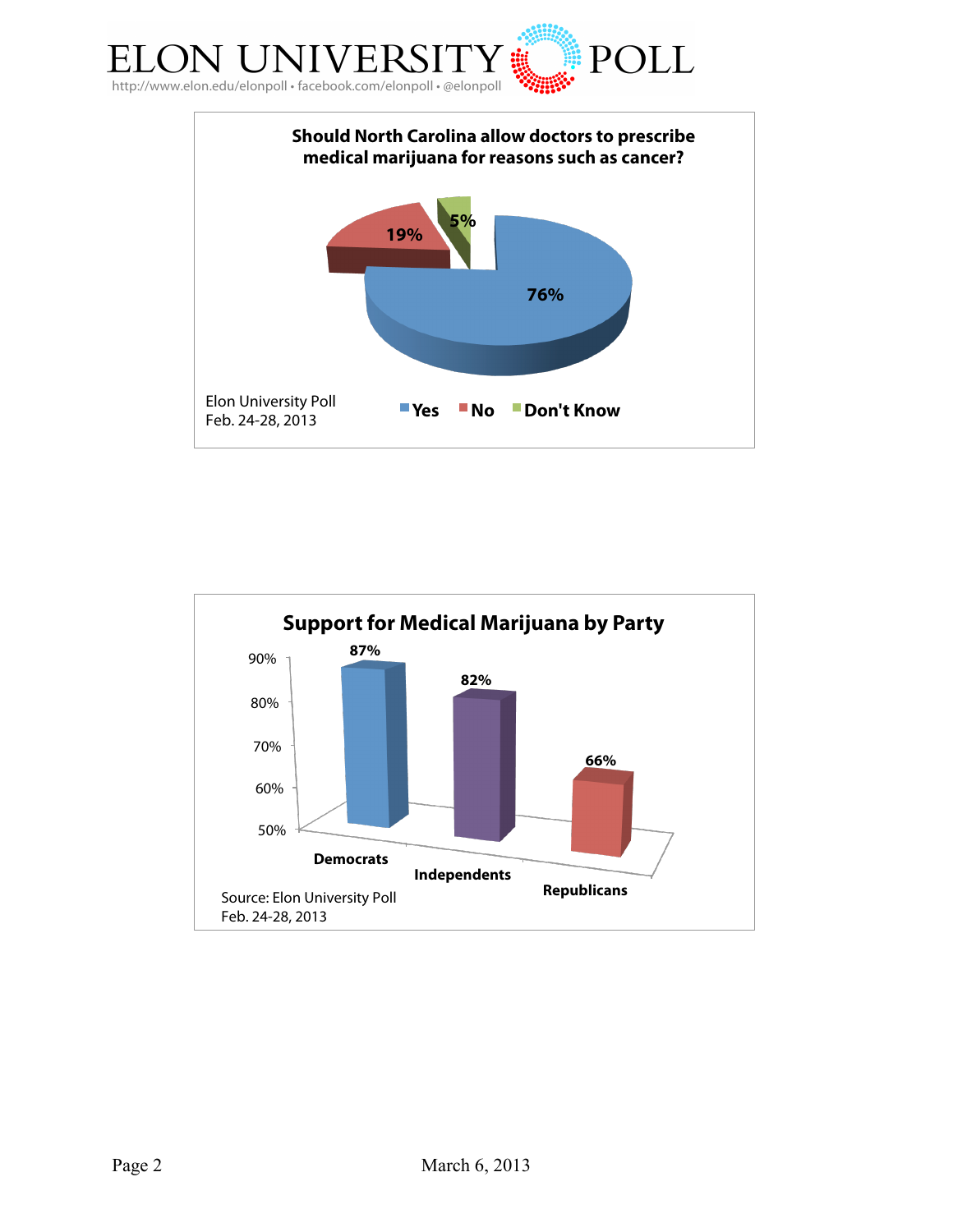



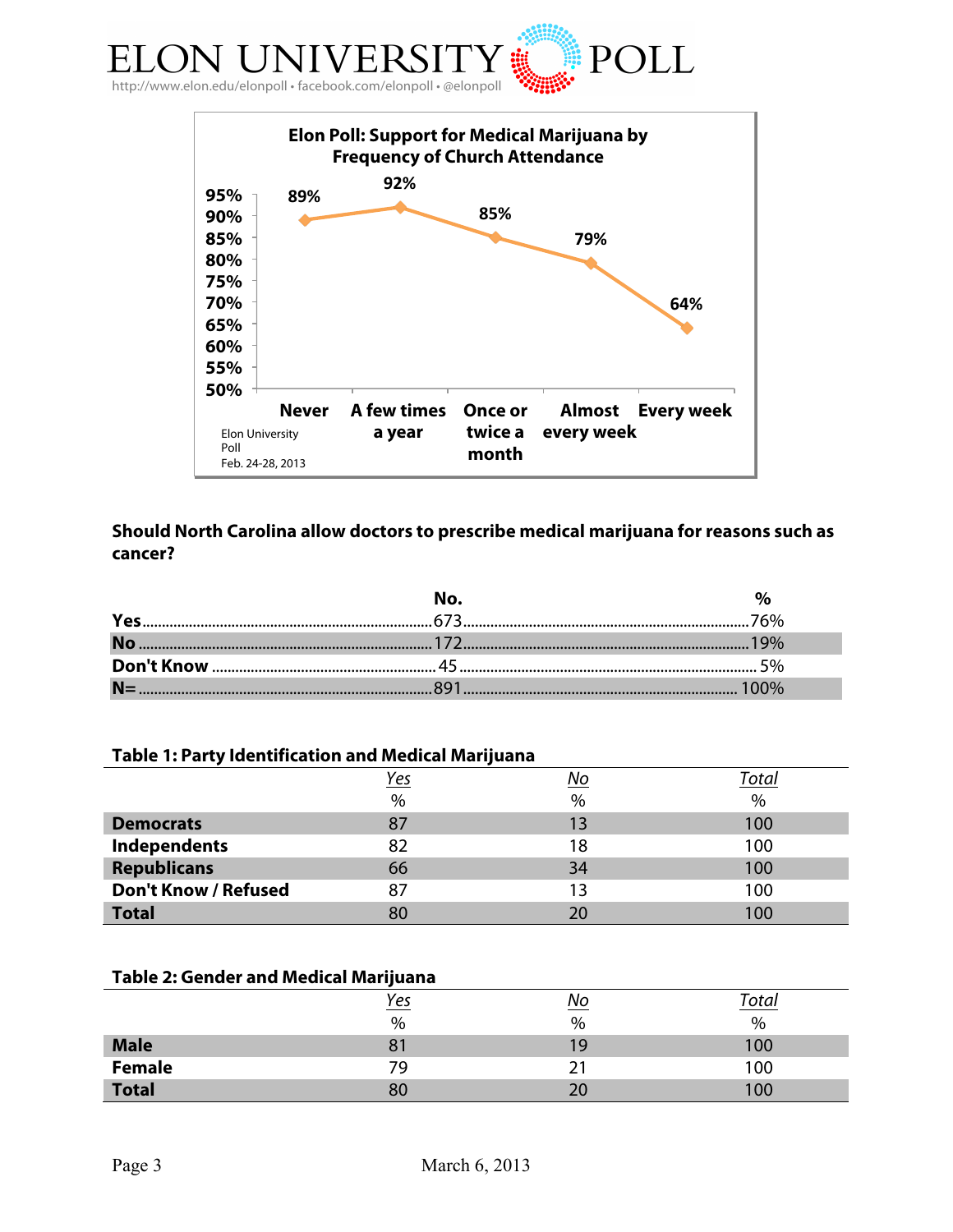



## **Should North Carolina allow doctors to prescribe medical marijuana for reasons such as cancer?**

#### **Table 1: Party Identification and Medical Marijuana**

|                             | Yes           | No            | Total |
|-----------------------------|---------------|---------------|-------|
|                             | $\frac{0}{0}$ | $\frac{0}{0}$ | $\%$  |
| <b>Democrats</b>            | 87            | 13            | 100   |
| Independents                | 82            | 18            | 100   |
| <b>Republicans</b>          | 66            | 34            | 100   |
| <b>Don't Know / Refused</b> | 87            | 13            | 100   |
| <b>Total</b>                | 80            |               | 100   |

### **Table 2: Gender and Medical Marijuana**

|               | <u>Yes</u> |    | Totar |
|---------------|------------|----|-------|
|               | %          | %  | $\%$  |
| <b>Male</b>   |            | 19 | 00    |
| <b>Female</b> | 79         |    | 00    |
| <b>Total</b>  | 80         |    | 00    |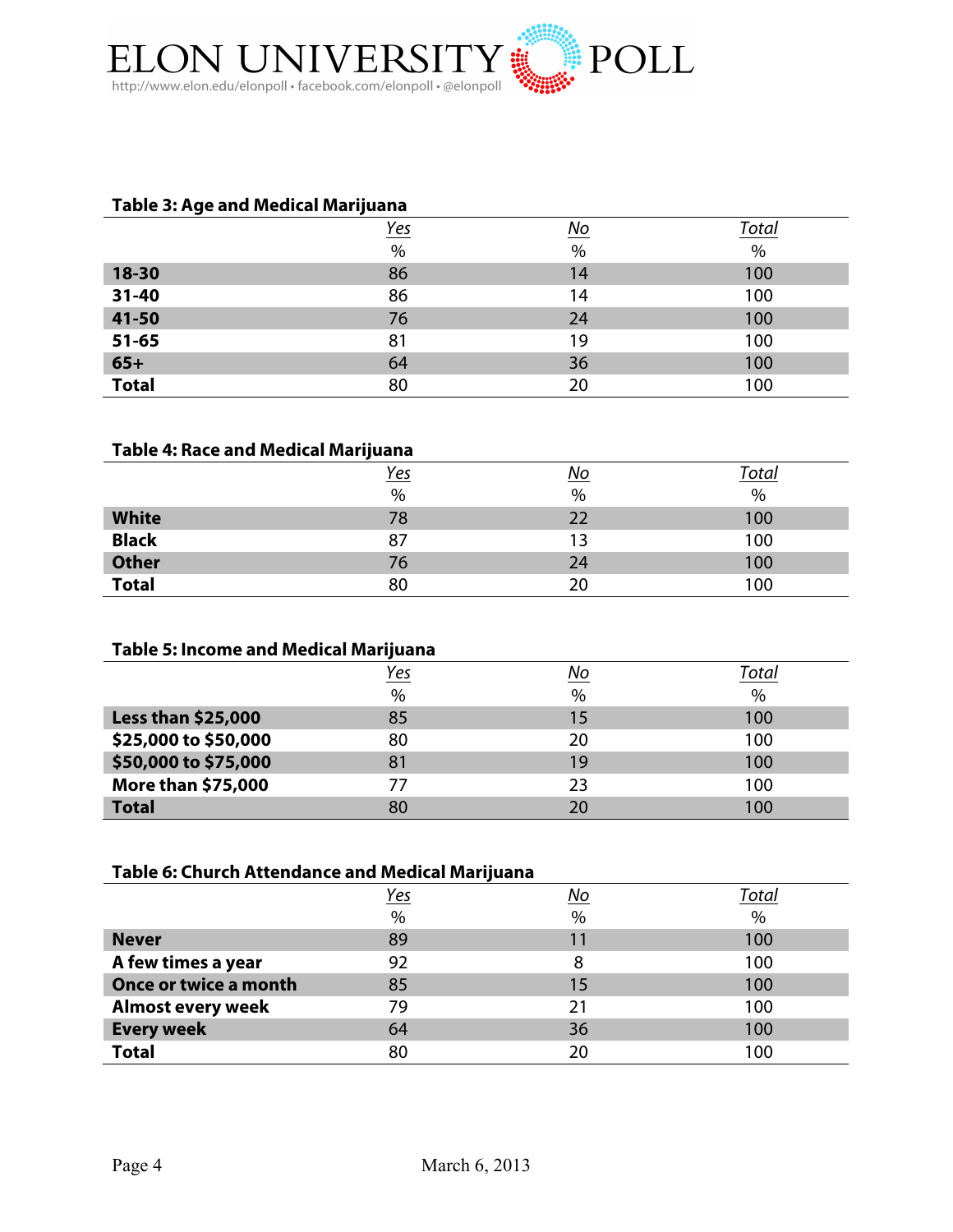

#### **Table 3: Age and Medical Marijuana**

|              | <u>Yes</u> | $No$ | <u>Total</u> |
|--------------|------------|------|--------------|
|              | $\%$       | $\%$ | $\%$         |
| 18-30        | 86         | 14   | 100          |
| 31-40        | 86         | 14   | 100          |
| 41-50        | 76         | 24   | 100          |
| $51 - 65$    | 81         | 19   | 100          |
| $65+$        | 64         | 36   | 100          |
| <b>Total</b> | 80         | 20   | 100          |

#### **Table 4: Race and Medical Marijuana**

|              | <u>Yes</u> |      | <u>Total</u> |
|--------------|------------|------|--------------|
|              | $\%$       | $\%$ | $\%$         |
| <b>White</b> | 78         |      | 100          |
| <b>Black</b> | 87         | 13   | 100          |
| <b>Other</b> | 76         | 24   | 100          |
| <b>Total</b> | 80         | 20   | 100          |

### **Table 5: Income and Medical Marijuana**

|                           | Yes  | No   | Total |
|---------------------------|------|------|-------|
|                           | $\%$ | $\%$ | $\%$  |
| <b>Less than \$25,000</b> | 85   | 15   | 100   |
| \$25,000 to \$50,000      | 80   | 20   | 100   |
| \$50,000 to \$75,000      | 81   | 19   | 100   |
| More than \$75,000        |      | 23   | 100   |
| <b>Total</b>              | 80   | ንበ   | 100   |

#### **Table 6: Church Attendance and Medical Marijuana**

|                          | <u>Yes</u> | No | Total |
|--------------------------|------------|----|-------|
|                          | $\%$       | %  | $\%$  |
| <b>Never</b>             | 89         | 11 | 100   |
| A few times a year       | 92         | 8  | 100   |
| Once or twice a month    | 85         | 15 | 100   |
| <b>Almost every week</b> | 79         | 21 | 100   |
| <b>Every week</b>        | 64         | 36 | 100   |
| <b>Total</b>             | 80         | 20 | 100   |